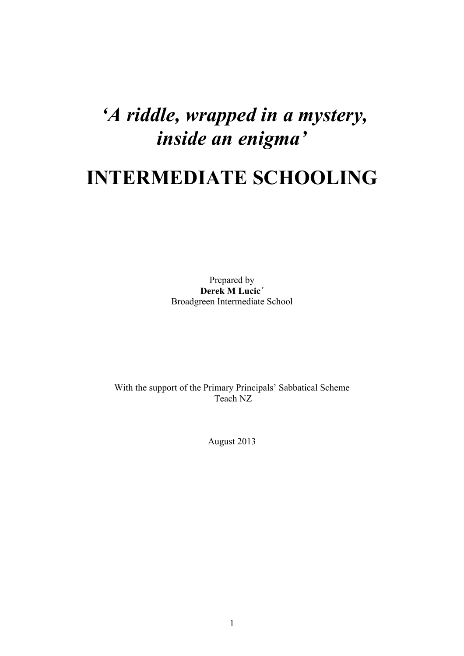# *'A riddle, wrapped in a mystery, inside an enigma'*

# **INTERMEDIATE SCHOOLING**

Prepared by **Derek M Lucic´** Broadgreen Intermediate School

With the support of the Primary Principals' Sabbatical Scheme Teach NZ

August 2013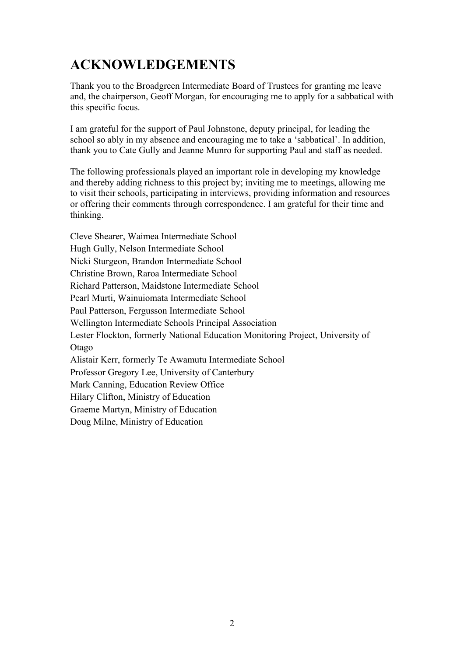# **ACKNOWLEDGEMENTS**

Thank you to the Broadgreen Intermediate Board of Trustees for granting me leave and, the chairperson, Geoff Morgan, for encouraging me to apply for a sabbatical with this specific focus.

I am grateful for the support of Paul Johnstone, deputy principal, for leading the school so ably in my absence and encouraging me to take a 'sabbatical'. In addition, thank you to Cate Gully and Jeanne Munro for supporting Paul and staff as needed.

The following professionals played an important role in developing my knowledge and thereby adding richness to this project by; inviting me to meetings, allowing me to visit their schools, participating in interviews, providing information and resources or offering their comments through correspondence. I am grateful for their time and thinking.

Cleve Shearer, Waimea Intermediate School Hugh Gully, Nelson Intermediate School Nicki Sturgeon, Brandon Intermediate School Christine Brown, Raroa Intermediate School Richard Patterson, Maidstone Intermediate School Pearl Murti, Wainuiomata Intermediate School Paul Patterson, Fergusson Intermediate School Wellington Intermediate Schools Principal Association Lester Flockton, formerly National Education Monitoring Project, University of Otago Alistair Kerr, formerly Te Awamutu Intermediate School Professor Gregory Lee, University of Canterbury Mark Canning, Education Review Office Hilary Clifton, Ministry of Education Graeme Martyn, Ministry of Education Doug Milne, Ministry of Education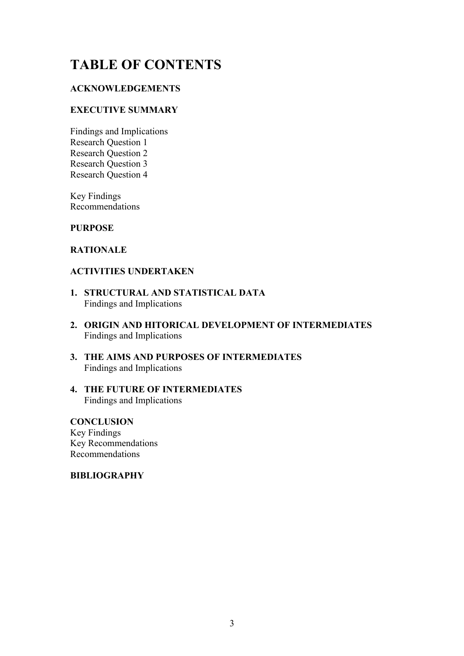# **TABLE OF CONTENTS**

#### **ACKNOWLEDGEMENTS**

#### **EXECUTIVE SUMMARY**

Findings and Implications Research Question 1 Research Question 2 Research Question 3 Research Question 4

Key Findings Recommendations

#### **PURPOSE**

#### **RATIONALE**

#### **ACTIVITIES UNDERTAKEN**

- **1. STRUCTURAL AND STATISTICAL DATA** Findings and Implications
- **2. ORIGIN AND HITORICAL DEVELOPMENT OF INTERMEDIATES** Findings and Implications
- **3. THE AIMS AND PURPOSES OF INTERMEDIATES** Findings and Implications
- **4. THE FUTURE OF INTERMEDIATES** Findings and Implications

#### **CONCLUSION**

Key Findings Key Recommendations Recommendations

#### **BIBLIOGRAPHY**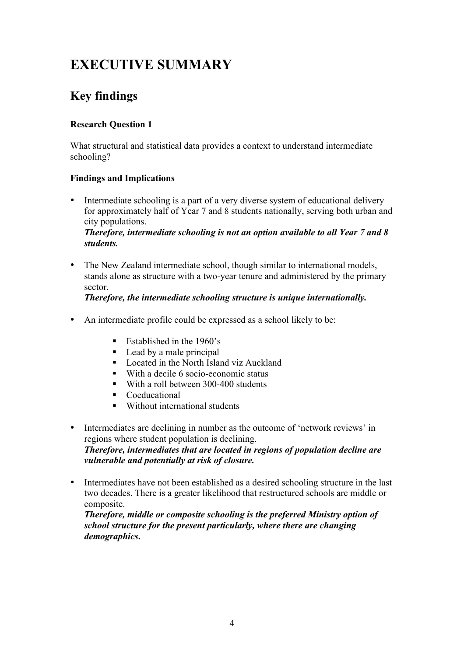# **EXECUTIVE SUMMARY**

# **Key findings**

#### **Research Question 1**

What structural and statistical data provides a context to understand intermediate schooling?

#### **Findings and Implications**

• Intermediate schooling is a part of a very diverse system of educational delivery for approximately half of Year 7 and 8 students nationally, serving both urban and city populations.

*Therefore, intermediate schooling is not an option available to all Year 7 and 8 students.*

• The New Zealand intermediate school, though similar to international models, stands alone as structure with a two-year tenure and administered by the primary sector.

#### *Therefore, the intermediate schooling structure is unique internationally.*

- An intermediate profile could be expressed as a school likely to be:
	- Established in the  $1960$ 's
	- Lead by a male principal
	- Located in the North Island viz Auckland
	- ! With a decile 6 socio-economic status
	- With a roll between 300-400 students
	- **•** Coeducational
	- ! Without international students
- Intermediates are declining in number as the outcome of 'network reviews' in regions where student population is declining. *Therefore, intermediates that are located in regions of population decline are vulnerable and potentially at risk of closure.*
- Intermediates have not been established as a desired schooling structure in the last two decades. There is a greater likelihood that restructured schools are middle or composite.

*Therefore, middle or composite schooling is the preferred Ministry option of school structure for the present particularly, where there are changing demographics***.**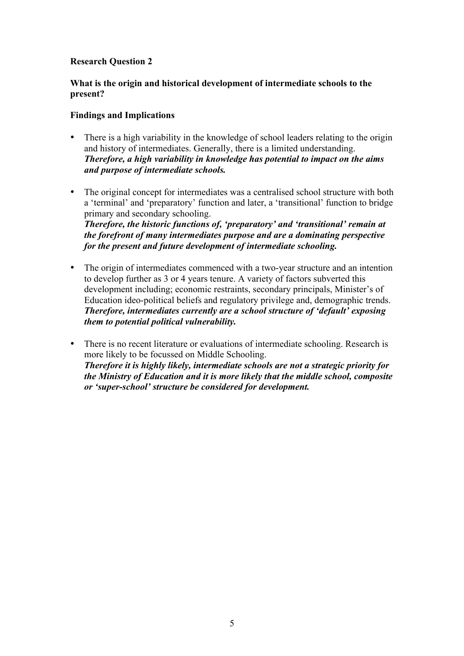#### **Research Question 2**

#### **What is the origin and historical development of intermediate schools to the present?**

#### **Findings and Implications**

- There is a high variability in the knowledge of school leaders relating to the origin and history of intermediates. Generally, there is a limited understanding. *Therefore, a high variability in knowledge has potential to impact on the aims and purpose of intermediate schools.*
- The original concept for intermediates was a centralised school structure with both a 'terminal' and 'preparatory' function and later, a 'transitional' function to bridge primary and secondary schooling. *Therefore, the historic functions of, 'preparatory' and 'transitional' remain at the forefront of many intermediates purpose and are a dominating perspective for the present and future development of intermediate schooling.*
- The origin of intermediates commenced with a two-year structure and an intention to develop further as 3 or 4 years tenure. A variety of factors subverted this development including; economic restraints, secondary principals, Minister's of Education ideo-political beliefs and regulatory privilege and, demographic trends. *Therefore, intermediates currently are a school structure of 'default' exposing them to potential political vulnerability.*
- There is no recent literature or evaluations of intermediate schooling. Research is more likely to be focussed on Middle Schooling. *Therefore it is highly likely, intermediate schools are not a strategic priority for the Ministry of Education and it is more likely that the middle school, composite or 'super-school' structure be considered for development.*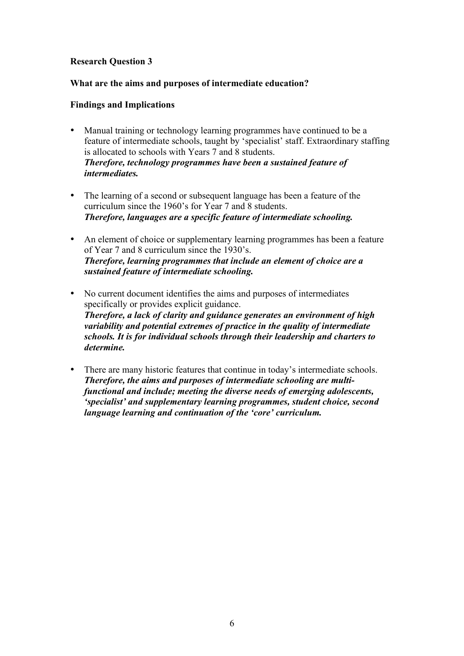#### **Research Question 3**

#### **What are the aims and purposes of intermediate education?**

#### **Findings and Implications**

- Manual training or technology learning programmes have continued to be a feature of intermediate schools, taught by 'specialist' staff. Extraordinary staffing is allocated to schools with Years 7 and 8 students. *Therefore, technology programmes have been a sustained feature of intermediates.*
- The learning of a second or subsequent language has been a feature of the curriculum since the 1960's for Year 7 and 8 students. *Therefore, languages are a specific feature of intermediate schooling.*
- An element of choice or supplementary learning programmes has been a feature of Year 7 and 8 curriculum since the 1930's. *Therefore, learning programmes that include an element of choice are a sustained feature of intermediate schooling.*
- No current document identifies the aims and purposes of intermediates specifically or provides explicit guidance. *Therefore, a lack of clarity and guidance generates an environment of high variability and potential extremes of practice in the quality of intermediate schools. It is for individual schools through their leadership and charters to determine.*
- There are many historic features that continue in today's intermediate schools. *Therefore, the aims and purposes of intermediate schooling are multifunctional and include; meeting the diverse needs of emerging adolescents, 'specialist' and supplementary learning programmes, student choice, second language learning and continuation of the 'core' curriculum.*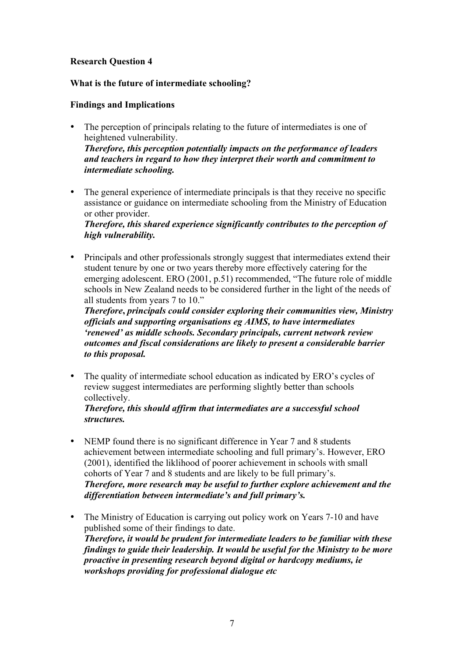#### **Research Question 4**

#### **What is the future of intermediate schooling?**

#### **Findings and Implications**

- The perception of principals relating to the future of intermediates is one of heightened vulnerability. *Therefore, this perception potentially impacts on the performance of leaders and teachers in regard to how they interpret their worth and commitment to intermediate schooling.*
- The general experience of intermediate principals is that they receive no specific assistance or guidance on intermediate schooling from the Ministry of Education or other provider.

*Therefore, this shared experience significantly contributes to the perception of high vulnerability.*

• Principals and other professionals strongly suggest that intermediates extend their student tenure by one or two years thereby more effectively catering for the emerging adolescent. ERO (2001, p.51) recommended, "The future role of middle schools in New Zealand needs to be considered further in the light of the needs of all students from years 7 to 10."

*Therefore***,** *principals could consider exploring their communities view, Ministry officials and supporting organisations eg AIMS, to have intermediates 'renewed' as middle schools. Secondary principals, current network review outcomes and fiscal considerations are likely to present a considerable barrier to this proposal.*

• The quality of intermediate school education as indicated by ERO's cycles of review suggest intermediates are performing slightly better than schools collectively.

#### *Therefore, this should affirm that intermediates are a successful school structures.*

- NEMP found there is no significant difference in Year 7 and 8 students achievement between intermediate schooling and full primary's. However, ERO (2001), identified the liklihood of poorer achievement in schools with small cohorts of Year 7 and 8 students and are likely to be full primary's. *Therefore, more research may be useful to further explore achievement and the differentiation between intermediate's and full primary's.*
- The Ministry of Education is carrying out policy work on Years 7-10 and have published some of their findings to date. *Therefore, it would be prudent for intermediate leaders to be familiar with these findings to guide their leadership. It would be useful for the Ministry to be more proactive in presenting research beyond digital or hardcopy mediums, ie workshops providing for professional dialogue etc*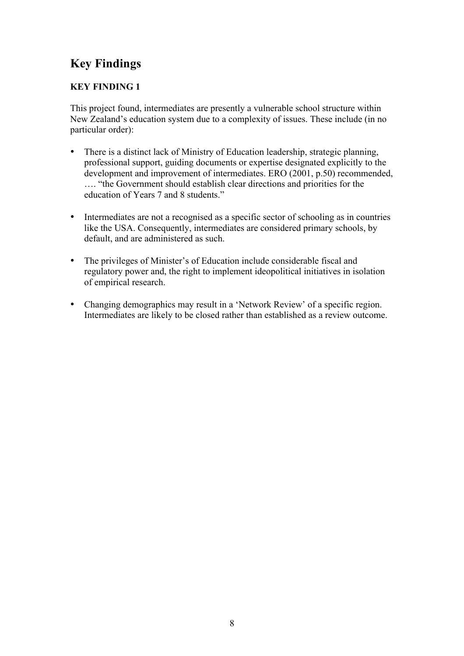# **Key Findings**

#### **KEY FINDING 1**

This project found, intermediates are presently a vulnerable school structure within New Zealand's education system due to a complexity of issues. These include (in no particular order):

- There is a distinct lack of Ministry of Education leadership, strategic planning, professional support, guiding documents or expertise designated explicitly to the development and improvement of intermediates. ERO (2001, p.50) recommended, …. "the Government should establish clear directions and priorities for the education of Years 7 and 8 students."
- Intermediates are not a recognised as a specific sector of schooling as in countries like the USA. Consequently, intermediates are considered primary schools, by default, and are administered as such.
- The privileges of Minister's of Education include considerable fiscal and regulatory power and, the right to implement ideopolitical initiatives in isolation of empirical research.
- Changing demographics may result in a 'Network Review' of a specific region. Intermediates are likely to be closed rather than established as a review outcome.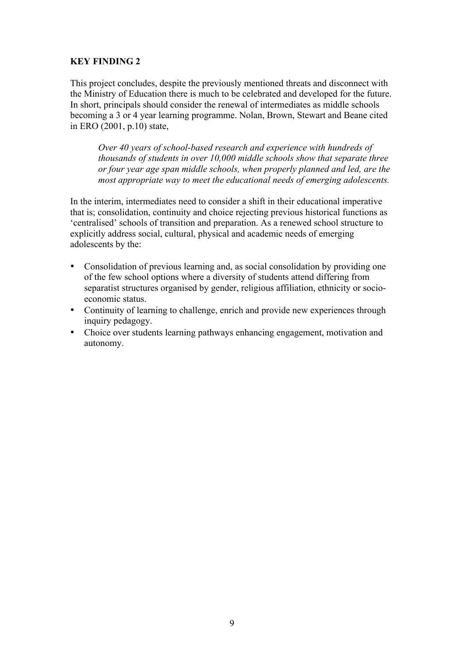#### **KEY FINDING 2**

This project concludes, despite the previously mentioned threats and disconnect with the Ministry of Education there is much to be celebrated and developed for the future. In short, principals should consider the renewal of intermediates as middle schools becoming a 3 or 4 year learning programme. Nolan, Brown, Stewart and Beane cited in ERO (2001, p.10) state,

*Over 40 years of school-based research and experience with hundreds of thousands of students in over 10,000 middle schools show that separate three or four year age span middle schools, when properly planned and led, are the most appropriate way to meet the educational needs of emerging adolescents.*

In the interim, intermediates need to consider a shift in their educational imperative that is; consolidation, continuity and choice rejecting previous historical functions as 'centralised' schools of transition and preparation. As a renewed school structure to explicitly address social, cultural, physical and academic needs of emerging adolescents by the:

- Consolidation of previous learning and, as social consolidation by providing one of the few school options where a diversity of students attend differing from separatist structures organised by gender, religious affiliation, ethnicity or socioeconomic status.
- Continuity of learning to challenge, enrich and provide new experiences through inquiry pedagogy.
- Choice over students learning pathways enhancing engagement, motivation and autonomy.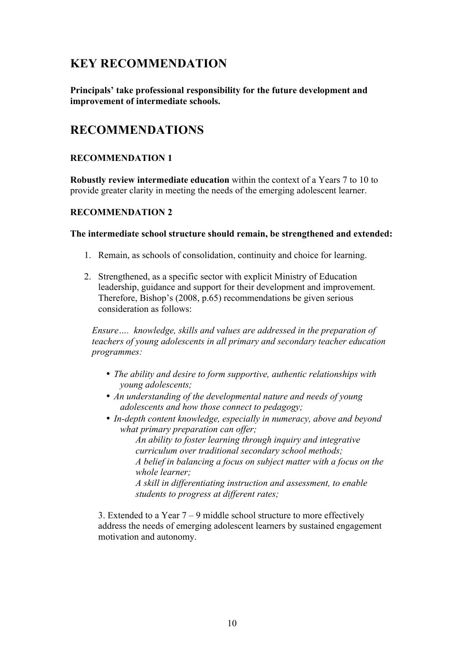### **KEY RECOMMENDATION**

**Principals' take professional responsibility for the future development and improvement of intermediate schools.**

### **RECOMMENDATIONS**

#### **RECOMMENDATION 1**

**Robustly review intermediate education** within the context of a Years 7 to 10 to provide greater clarity in meeting the needs of the emerging adolescent learner.

#### **RECOMMENDATION 2**

#### **The intermediate school structure should remain, be strengthened and extended:**

- 1. Remain, as schools of consolidation, continuity and choice for learning.
- 2. Strengthened, as a specific sector with explicit Ministry of Education leadership, guidance and support for their development and improvement. Therefore, Bishop's (2008, p.65) recommendations be given serious consideration as follows:

*Ensure…. knowledge, skills and values are addressed in the preparation of teachers of young adolescents in all primary and secondary teacher education programmes:*

- *The ability and desire to form supportive, authentic relationships with young adolescents;*
- *An understanding of the developmental nature and needs of young adolescents and how those connect to pedagogy;*
- *In-depth content knowledge, especially in numeracy, above and beyond what primary preparation can offer;*

*An ability to foster learning through inquiry and integrative curriculum over traditional secondary school methods; A belief in balancing a focus on subject matter with a focus on the whole learner; A skill in differentiating instruction and assessment, to enable* 

*students to progress at different rates;* 

3. Extended to a Year 7 – 9 middle school structure to more effectively address the needs of emerging adolescent learners by sustained engagement motivation and autonomy.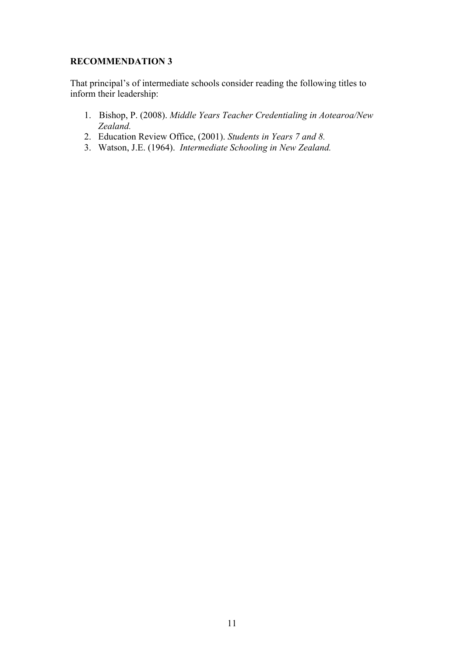#### **RECOMMENDATION 3**

That principal's of intermediate schools consider reading the following titles to inform their leadership:

- 1. Bishop, P. (2008). *Middle Years Teacher Credentialing in Aotearoa/New Zealand.*
- 2. Education Review Office, (2001). *Students in Years 7 and 8.*
- 3. Watson, J.E. (1964). *Intermediate Schooling in New Zealand.*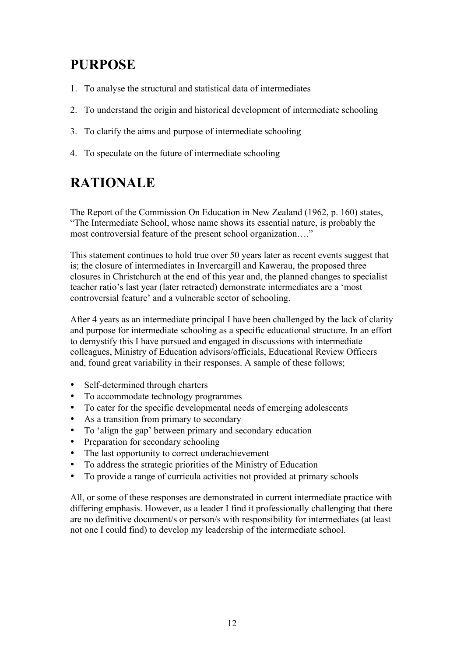# **PURPOSE**

- 1. To analyse the structural and statistical data of intermediates
- 2. To understand the origin and historical development of intermediate schooling
- 3. To clarify the aims and purpose of intermediate schooling
- 4. To speculate on the future of intermediate schooling

# **RATIONALE**

The Report of the Commission On Education in New Zealand (1962, p. 160) states, "The Intermediate School, whose name shows its essential nature, is probably the most controversial feature of the present school organization…."

This statement continues to hold true over 50 years later as recent events suggest that is; the closure of intermediates in Invercargill and Kawerau, the proposed three closures in Christchurch at the end of this year and, the planned changes to specialist teacher ratio's last year (later retracted) demonstrate intermediates are a 'most controversial feature' and a vulnerable sector of schooling.

After 4 years as an intermediate principal I have been challenged by the lack of clarity and purpose for intermediate schooling as a specific educational structure. In an effort to demystify this I have pursued and engaged in discussions with intermediate colleagues, Ministry of Education advisors/officials, Educational Review Officers and, found great variability in their responses. A sample of these follows;

- Self-determined through charters
- To accommodate technology programmes
- To cater for the specific developmental needs of emerging adolescents
- As a transition from primary to secondary
- To 'align the gap' between primary and secondary education
- Preparation for secondary schooling
- The last opportunity to correct underachievement
- To address the strategic priorities of the Ministry of Education
- To provide a range of curricula activities not provided at primary schools

All, or some of these responses are demonstrated in current intermediate practice with differing emphasis. However, as a leader I find it professionally challenging that there are no definitive document/s or person/s with responsibility for intermediates (at least not one I could find) to develop my leadership of the intermediate school.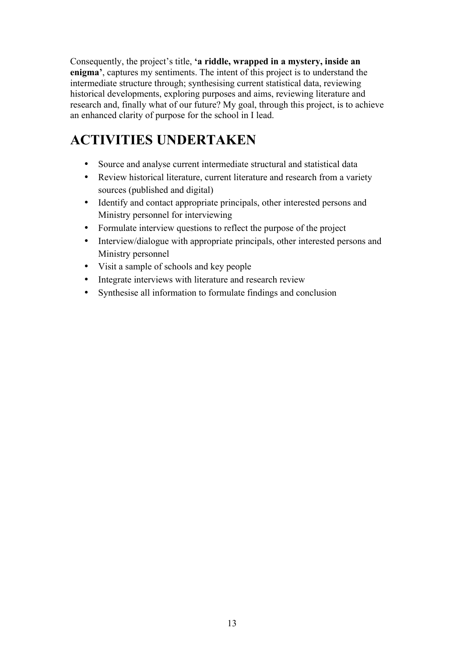Consequently, the project's title, **'a riddle, wrapped in a mystery, inside an enigma'**, captures my sentiments. The intent of this project is to understand the intermediate structure through; synthesising current statistical data, reviewing historical developments, exploring purposes and aims, reviewing literature and research and, finally what of our future? My goal, through this project, is to achieve an enhanced clarity of purpose for the school in I lead.

# **ACTIVITIES UNDERTAKEN**

- Source and analyse current intermediate structural and statistical data
- Review historical literature, current literature and research from a variety sources (published and digital)
- Identify and contact appropriate principals, other interested persons and Ministry personnel for interviewing
- Formulate interview questions to reflect the purpose of the project
- Interview/dialogue with appropriate principals, other interested persons and Ministry personnel
- Visit a sample of schools and key people
- Integrate interviews with literature and research review
- Synthesise all information to formulate findings and conclusion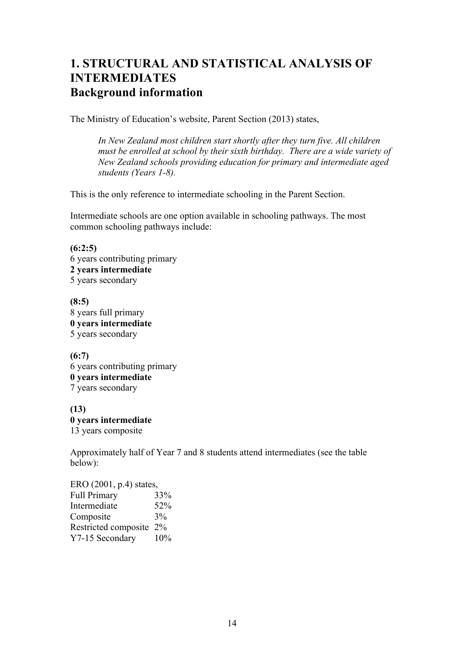## **1. STRUCTURAL AND STATISTICAL ANALYSIS OF INTERMEDIATES Background information**

The Ministry of Education's website, Parent Section (2013) states,

*In New Zealand most children start shortly after they turn five. All children must be enrolled at school by their sixth birthday. There are a wide variety of New Zealand schools providing education for primary and intermediate aged students (Years 1-8).*

This is the only reference to intermediate schooling in the Parent Section.

Intermediate schools are one option available in schooling pathways. The most common schooling pathways include:

**(6:2:5)** 6 years contributing primary **2 years intermediate** 5 years secondary

**(8:5)** 8 years full primary **0 years intermediate** 5 years secondary

**(6:7)** 6 years contributing primary **0 years intermediate** 7 years secondary

**(13) 0 years intermediate** 13 years composite

Approximately half of Year 7 and 8 students attend intermediates (see the table below):

ERO (2001, p.4) states, Full Primary 33% Intermediate 52% Composite  $3\%$ Restricted composite 2% Y7-15 Secondary 10%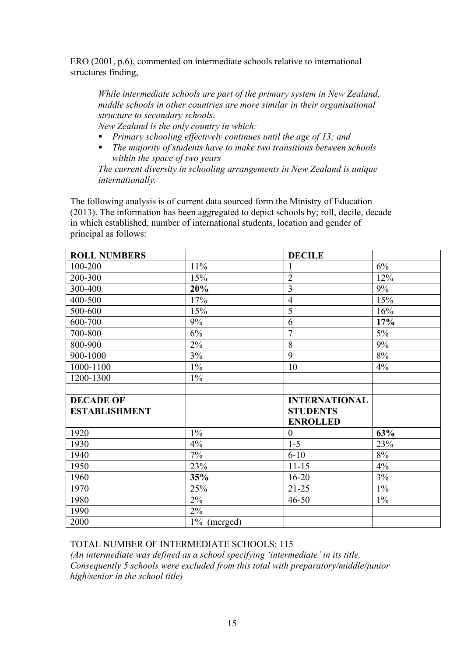ERO (2001, p.6), commented on intermediate schools relative to international structures finding,

*While intermediate schools are part of the primary system in New Zealand, middle schools in other countries are more similar in their organisational structure to secondary schools.*

*New Zealand is the only country in which:*

- ! *Primary schooling effectively continues until the age of 13; and*
- ! *The majority of students have to make two transitions between schools within the space of two years*

*The current diversity in schooling arrangements in New Zealand is unique internationally.*

The following analysis is of current data sourced form the Ministry of Education (2013). The information has been aggregated to depict schools by; roll, decile, decade in which established, number of international students, location and gender of principal as follows:

| <b>ROLL NUMBERS</b>  |       | <b>DECILE</b>        |       |
|----------------------|-------|----------------------|-------|
| 100-200              | 11%   |                      | $6\%$ |
| 200-300              | 15%   | $\overline{2}$       | 12%   |
| 300-400              | 20%   | 3                    | 9%    |
| 400-500              | 17%   | $\overline{4}$       | 15%   |
| 500-600              | 15%   | 5                    | 16%   |
| 600-700              | 9%    | 6                    | 17%   |
| 700-800              | 6%    | $\overline{7}$       | 5%    |
| 800-900              | 2%    | 8                    | 9%    |
| 900-1000             | 3%    | 9                    | 8%    |
| 1000-1100            | $1\%$ | 10                   | 4%    |
| 1200-1300            | $1\%$ |                      |       |
|                      |       |                      |       |
|                      |       |                      |       |
| <b>DECADE OF</b>     |       | <b>INTERNATIONAL</b> |       |
| <b>ESTABLISHMENT</b> |       | <b>STUDENTS</b>      |       |
|                      |       | <b>ENROLLED</b>      |       |
| 1920                 | $1\%$ | $\theta$             | 63%   |
| 1930                 | 4%    | $1 - 5$              | 23%   |
| 1940                 | 7%    | $6 - 10$             | $8\%$ |
| 1950                 | 23%   | $11 - 15$            | 4%    |
| 1960                 | 35%   | $16 - 20$            | 3%    |
| 1970                 | 25%   | $21 - 25$            | $1\%$ |
| 1980                 | 2%    | $46 - 50$            | $1\%$ |
| 1990                 | $2\%$ |                      |       |

TOTAL NUMBER OF INTERMEDIATE SCHOOLS: 115

*(An intermediate was defined as a school specifying 'intermediate' in its title. Consequently 5 schools were excluded from this total with preparatory/middle/junior high/senior in the school title)*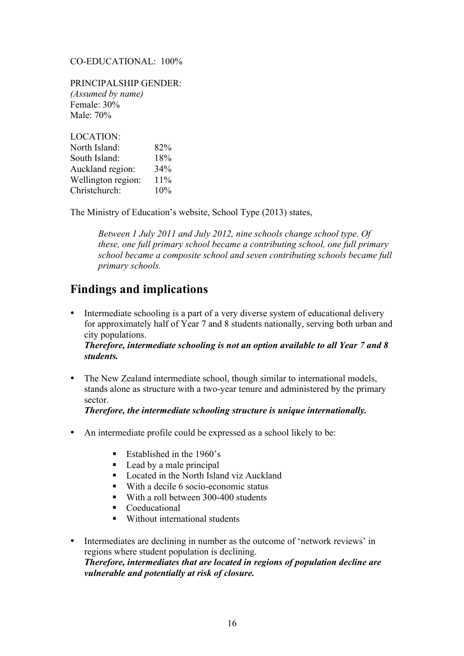#### CO-EDUCATIONAL:100%

PRINCIPALSHIP GENDER: *(Assumed by name)* Female: 30% Male: 70%

| <b>LOCATION:</b>   |     |
|--------------------|-----|
| North Island:      | 82% |
| South Island:      | 18% |
| Auckland region:   | 34% |
| Wellington region: | 11% |
| Christchurch:      | 10% |

The Ministry of Education's website, School Type (2013) states,

*Between 1 July 2011 and July 2012, nine schools change school type. Of these, one full primary school became a contributing school, one full primary school became a composite school and seven contributing schools became full primary schools.*

### **Findings and implications**

• Intermediate schooling is a part of a very diverse system of educational delivery for approximately half of Year 7 and 8 students nationally, serving both urban and city populations.

*Therefore, intermediate schooling is not an option available to all Year 7 and 8 students.*

• The New Zealand intermediate school, though similar to international models, stands alone as structure with a two-year tenure and administered by the primary sector.

*Therefore, the intermediate schooling structure is unique internationally.*

- An intermediate profile could be expressed as a school likely to be:
	- Established in the 1960's
	- Lead by a male principal
	- ! Located in the North Island viz Auckland
	- ! With a decile 6 socio-economic status
	- With a roll between 300-400 students
	- ! Coeducational
	- **EX** Without international students
- Intermediates are declining in number as the outcome of 'network reviews' in regions where student population is declining. *Therefore, intermediates that are located in regions of population decline are vulnerable and potentially at risk of closure.*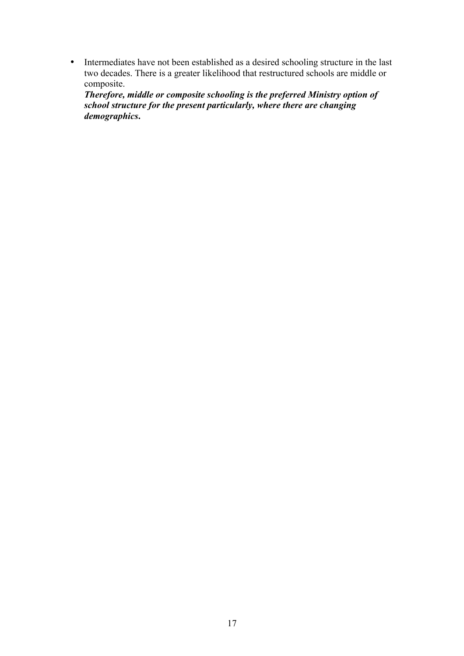• Intermediates have not been established as a desired schooling structure in the last two decades. There is a greater likelihood that restructured schools are middle or composite.

*Therefore, middle or composite schooling is the preferred Ministry option of school structure for the present particularly, where there are changing demographics***.**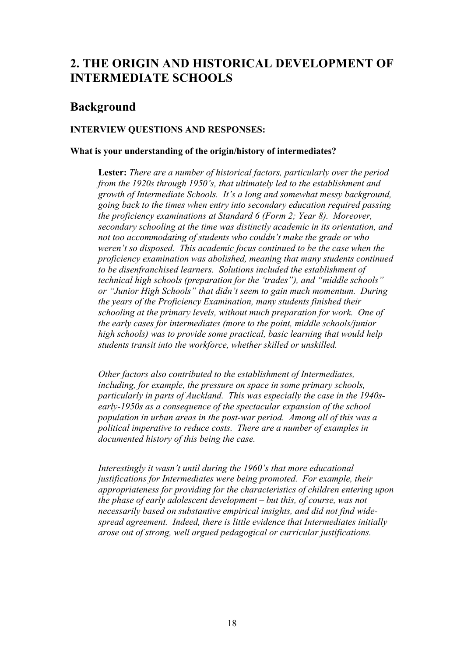## **2. THE ORIGIN AND HISTORICAL DEVELOPMENT OF INTERMEDIATE SCHOOLS**

### **Background**

#### **INTERVIEW QUESTIONS AND RESPONSES:**

#### **What is your understanding of the origin/history of intermediates?**

**Lester:** *There are a number of historical factors, particularly over the period from the 1920s through 1950's, that ultimately led to the establishment and growth of Intermediate Schools. It's a long and somewhat messy background, going back to the times when entry into secondary education required passing the proficiency examinations at Standard 6 (Form 2; Year 8). Moreover, secondary schooling at the time was distinctly academic in its orientation, and not too accommodating of students who couldn't make the grade or who weren't so disposed. This academic focus continued to be the case when the proficiency examination was abolished, meaning that many students continued to be disenfranchised learners. Solutions included the establishment of technical high schools (preparation for the 'trades"), and "middle schools" or "Junior High Schools" that didn't seem to gain much momentum. During the years of the Proficiency Examination, many students finished their schooling at the primary levels, without much preparation for work. One of the early cases for intermediates (more to the point, middle schools/junior high schools) was to provide some practical, basic learning that would help students transit into the workforce, whether skilled or unskilled.*

*Other factors also contributed to the establishment of Intermediates, including, for example, the pressure on space in some primary schools, particularly in parts of Auckland. This was especially the case in the 1940searly-1950s as a consequence of the spectacular expansion of the school population in urban areas in the post-war period. Among all of this was a political imperative to reduce costs. There are a number of examples in documented history of this being the case.*

*Interestingly it wasn't until during the 1960's that more educational justifications for Intermediates were being promoted. For example, their appropriateness for providing for the characteristics of children entering upon the phase of early adolescent development – but this, of course, was not necessarily based on substantive empirical insights, and did not find widespread agreement. Indeed, there is little evidence that Intermediates initially arose out of strong, well argued pedagogical or curricular justifications.*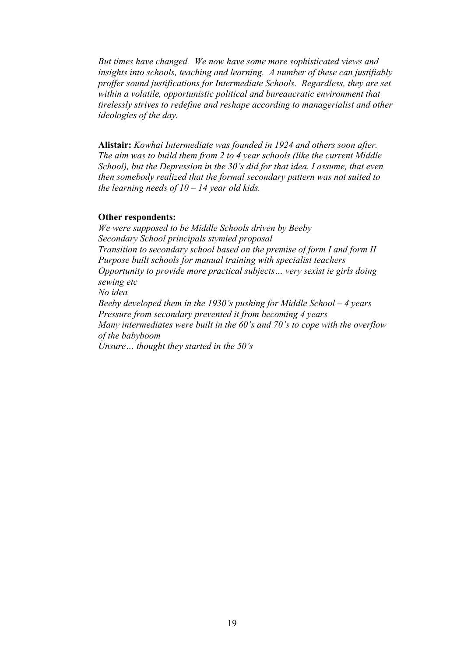*But times have changed. We now have some more sophisticated views and insights into schools, teaching and learning. A number of these can justifiably proffer sound justifications for Intermediate Schools. Regardless, they are set within a volatile, opportunistic political and bureaucratic environment that tirelessly strives to redefine and reshape according to managerialist and other ideologies of the day.*

**Alistair:** *Kowhai Intermediate was founded in 1924 and others soon after. The aim was to build them from 2 to 4 year schools (like the current Middle School), but the Depression in the 30's did for that idea. I assume, that even then somebody realized that the formal secondary pattern was not suited to the learning needs of 10 – 14 year old kids.*

#### **Other respondents:**

*We were supposed to be Middle Schools driven by Beeby Secondary School principals stymied proposal Transition to secondary school based on the premise of form I and form II Purpose built schools for manual training with specialist teachers Opportunity to provide more practical subjects… very sexist ie girls doing sewing etc No idea Beeby developed them in the 1930's pushing for Middle School – 4 years Pressure from secondary prevented it from becoming 4 years Many intermediates were built in the 60's and 70's to cope with the overflow of the babyboom Unsure… thought they started in the 50's*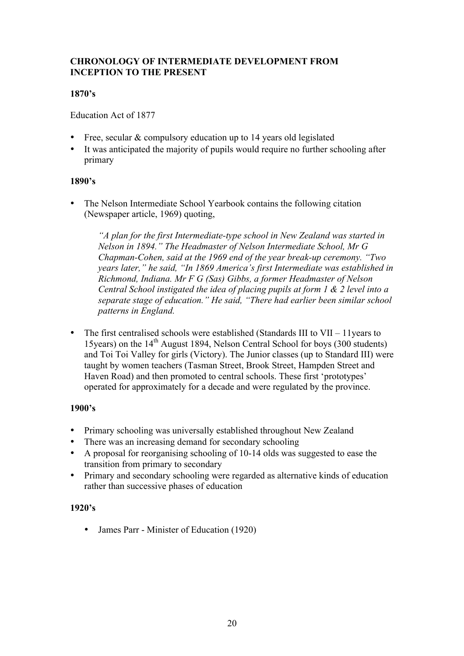#### **CHRONOLOGY OF INTERMEDIATE DEVELOPMENT FROM INCEPTION TO THE PRESENT**

#### **1870's**

Education Act of 1877

- Free, secular & compulsory education up to 14 years old legislated
- It was anticipated the majority of pupils would require no further schooling after primary

#### **1890's**

• The Nelson Intermediate School Yearbook contains the following citation (Newspaper article, 1969) quoting,

*"A plan for the first Intermediate-type school in New Zealand was started in Nelson in 1894." The Headmaster of Nelson Intermediate School, Mr G Chapman-Cohen, said at the 1969 end of the year break-up ceremony. "Two years later," he said, "In 1869 America's first Intermediate was established in Richmond, Indiana. Mr F G (Sas) Gibbs, a former Headmaster of Nelson Central School instigated the idea of placing pupils at form 1 & 2 level into a separate stage of education." He said, "There had earlier been similar school patterns in England.* 

• The first centralised schools were established (Standards III to VII – 11 years to 15 vears) on the  $14<sup>th</sup>$  August 1894, Nelson Central School for boys (300 students) and Toi Toi Valley for girls (Victory). The Junior classes (up to Standard III) were taught by women teachers (Tasman Street, Brook Street, Hampden Street and Haven Road) and then promoted to central schools. These first 'prototypes' operated for approximately for a decade and were regulated by the province.

#### **1900's**

- Primary schooling was universally established throughout New Zealand
- There was an increasing demand for secondary schooling
- A proposal for reorganising schooling of 10-14 olds was suggested to ease the transition from primary to secondary
- Primary and secondary schooling were regarded as alternative kinds of education rather than successive phases of education

#### **1920's**

• James Parr - Minister of Education (1920)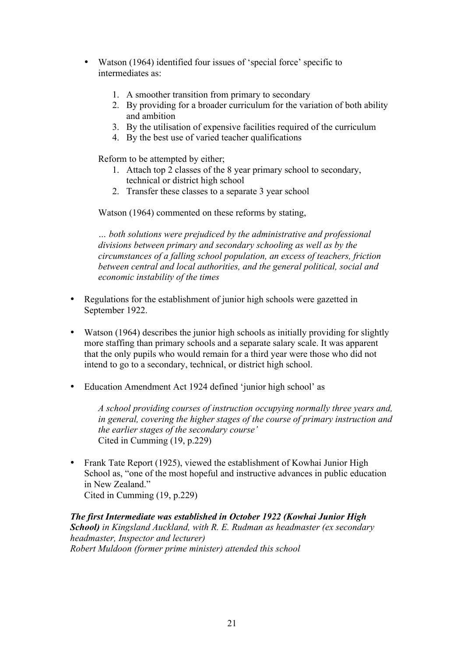- Watson (1964) identified four issues of 'special force' specific to intermediates as:
	- 1. A smoother transition from primary to secondary
	- 2. By providing for a broader curriculum for the variation of both ability and ambition
	- 3. By the utilisation of expensive facilities required of the curriculum
	- 4. By the best use of varied teacher qualifications

Reform to be attempted by either;

- 1. Attach top 2 classes of the 8 year primary school to secondary, technical or district high school
- 2. Transfer these classes to a separate 3 year school

Watson (1964) commented on these reforms by stating,

*… both solutions were prejudiced by the administrative and professional divisions between primary and secondary schooling as well as by the circumstances of a falling school population, an excess of teachers, friction between central and local authorities, and the general political, social and economic instability of the times*

- Regulations for the establishment of junior high schools were gazetted in September 1922.
- Watson (1964) describes the junior high schools as initially providing for slightly more staffing than primary schools and a separate salary scale. It was apparent that the only pupils who would remain for a third year were those who did not intend to go to a secondary, technical, or district high school.
- Education Amendment Act 1924 defined 'junior high school' as

*A school providing courses of instruction occupying normally three years and, in general, covering the higher stages of the course of primary instruction and the earlier stages of the secondary course'*  Cited in Cumming (19, p.229)

• Frank Tate Report (1925), viewed the establishment of Kowhai Junior High School as, "one of the most hopeful and instructive advances in public education in New Zealand." Cited in Cumming (19, p.229)

*The first Intermediate was established in October 1922 (Kowhai Junior High School) in Kingsland Auckland, with R. E. Rudman as headmaster (ex secondary headmaster, Inspector and lecturer) Robert Muldoon (former prime minister) attended this school*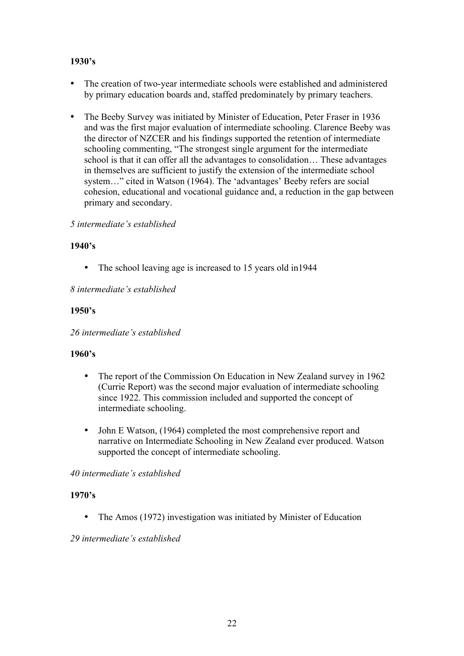#### **1930's**

- The creation of two-year intermediate schools were established and administered by primary education boards and, staffed predominately by primary teachers.
- The Beeby Survey was initiated by Minister of Education, Peter Fraser in 1936 and was the first major evaluation of intermediate schooling. Clarence Beeby was the director of NZCER and his findings supported the retention of intermediate schooling commenting, "The strongest single argument for the intermediate school is that it can offer all the advantages to consolidation… These advantages in themselves are sufficient to justify the extension of the intermediate school system…" cited in Watson (1964). The 'advantages' Beeby refers are social cohesion, educational and vocational guidance and, a reduction in the gap between primary and secondary.

#### *5 intermediate's established*

#### **1940's**

• The school leaving age is increased to 15 years old in 1944

*8 intermediate's established*

#### **1950's**

*26 intermediate's established*

#### **1960's**

- The report of the Commission On Education in New Zealand survey in 1962 (Currie Report) was the second major evaluation of intermediate schooling since 1922. This commission included and supported the concept of intermediate schooling.
- John E Watson, (1964) completed the most comprehensive report and narrative on Intermediate Schooling in New Zealand ever produced. Watson supported the concept of intermediate schooling.

#### *40 intermediate's established*

#### **1970's**

• The Amos (1972) investigation was initiated by Minister of Education

#### *29 intermediate's established*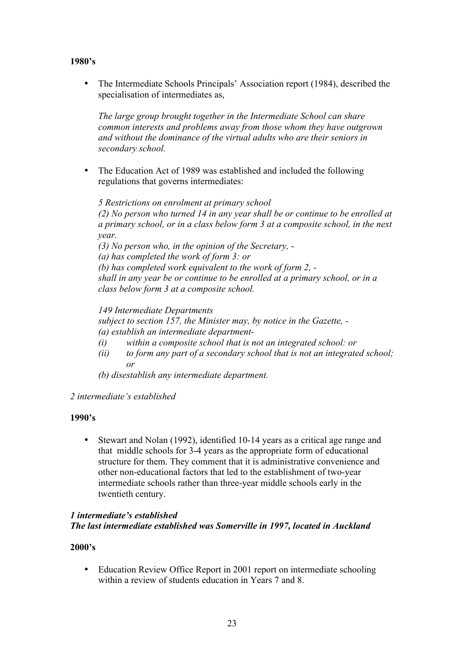#### **1980's**

• The Intermediate Schools Principals' Association report (1984), described the specialisation of intermediates as,

*The large group brought together in the Intermediate School can share common interests and problems away from those whom they have outgrown and without the dominance of the virtual adults who are their seniors in secondary school.*

• The Education Act of 1989 was established and included the following regulations that governs intermediates:

*5 Restrictions on enrolment at primary school (2) No person who turned 14 in any year shall be or continue to be enrolled at a primary school, or in a class below form 3 at a composite school, in the next year.*

*(3) No person who, in the opinion of the Secretary, - (a) has completed the work of form 3: or (b) has completed work equivalent to the work of form 2, shall in any year be or continue to be enrolled at a primary school, or in a class below form 3 at a composite school.*

*149 Intermediate Departments subject to section 157, the Minister may, by notice in the Gazette, - (a) establish an intermediate department-*

- *(i) within a composite school that is not an integrated school: or*
- *(ii) to form any part of a secondary school that is not an integrated school; or*
- *(b) disestablish any intermediate department.*
- *2 intermediate's established*

#### **1990's**

• Stewart and Nolan (1992), identified 10-14 years as a critical age range and that middle schools for 3-4 years as the appropriate form of educational structure for them. They comment that it is administrative convenience and other non-educational factors that led to the establishment of two-year intermediate schools rather than three-year middle schools early in the twentieth century.

#### *1 intermediate's established The last intermediate established was Somerville in 1997, located in Auckland*

#### **2000's**

• Education Review Office Report in 2001 report on intermediate schooling within a review of students education in Years 7 and 8.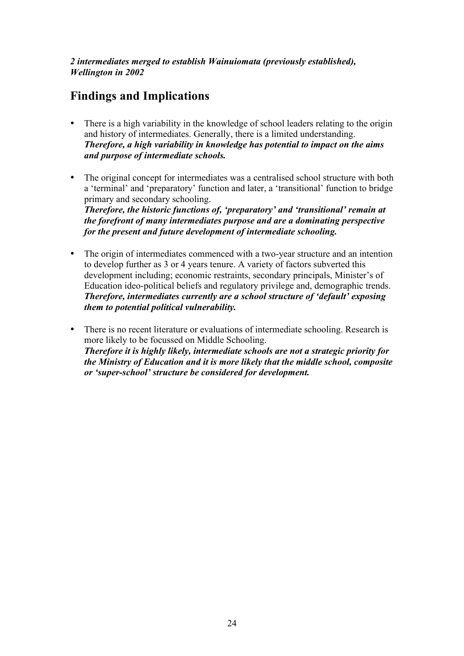*2 intermediates merged to establish Wainuiomata (previously established), Wellington in 2002*

# **Findings and Implications**

- There is a high variability in the knowledge of school leaders relating to the origin and history of intermediates. Generally, there is a limited understanding. *Therefore, a high variability in knowledge has potential to impact on the aims and purpose of intermediate schools.*
- The original concept for intermediates was a centralised school structure with both a 'terminal' and 'preparatory' function and later, a 'transitional' function to bridge primary and secondary schooling.

*Therefore, the historic functions of, 'preparatory' and 'transitional' remain at the forefront of many intermediates purpose and are a dominating perspective for the present and future development of intermediate schooling.* 

- The origin of intermediates commenced with a two-year structure and an intention to develop further as 3 or 4 years tenure. A variety of factors subverted this development including; economic restraints, secondary principals, Minister's of Education ideo-political beliefs and regulatory privilege and, demographic trends. *Therefore, intermediates currently are a school structure of 'default' exposing them to potential political vulnerability.*
- There is no recent literature or evaluations of intermediate schooling. Research is more likely to be focussed on Middle Schooling. *Therefore it is highly likely, intermediate schools are not a strategic priority for the Ministry of Education and it is more likely that the middle school, composite or 'super-school' structure be considered for development.*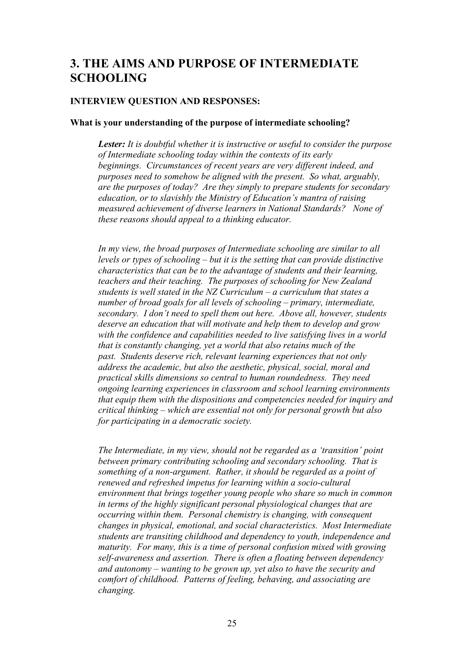### **3. THE AIMS AND PURPOSE OF INTERMEDIATE SCHOOLING**

#### **INTERVIEW QUESTION AND RESPONSES:**

#### **What is your understanding of the purpose of intermediate schooling?**

*Lester: It is doubtful whether it is instructive or useful to consider the purpose of Intermediate schooling today within the contexts of its early beginnings. Circumstances of recent years are very different indeed, and purposes need to somehow be aligned with the present. So what, arguably, are the purposes of today? Are they simply to prepare students for secondary education, or to slavishly the Ministry of Education's mantra of raising measured achievement of diverse learners in National Standards? None of these reasons should appeal to a thinking educator.*

*In my view, the broad purposes of Intermediate schooling are similar to all levels or types of schooling – but it is the setting that can provide distinctive characteristics that can be to the advantage of students and their learning, teachers and their teaching. The purposes of schooling for New Zealand students is well stated in the NZ Curriculum – a curriculum that states a number of broad goals for all levels of schooling – primary, intermediate, secondary. I don't need to spell them out here. Above all, however, students deserve an education that will motivate and help them to develop and grow with the confidence and capabilities needed to live satisfying lives in a world that is constantly changing, yet a world that also retains much of the past. Students deserve rich, relevant learning experiences that not only address the academic, but also the aesthetic, physical, social, moral and practical skills dimensions so central to human roundedness. They need ongoing learning experiences in classroom and school learning environments that equip them with the dispositions and competencies needed for inquiry and critical thinking – which are essential not only for personal growth but also for participating in a democratic society.*

*The Intermediate, in my view, should not be regarded as a 'transition' point between primary contributing schooling and secondary schooling. That is something of a non-argument. Rather, it should be regarded as a point of renewed and refreshed impetus for learning within a socio-cultural environment that brings together young people who share so much in common in terms of the highly significant personal physiological changes that are occurring within them. Personal chemistry is changing, with consequent changes in physical, emotional, and social characteristics. Most Intermediate students are transiting childhood and dependency to youth, independence and maturity. For many, this is a time of personal confusion mixed with growing self-awareness and assertion. There is often a floating between dependency and autonomy – wanting to be grown up, yet also to have the security and comfort of childhood. Patterns of feeling, behaving, and associating are changing.*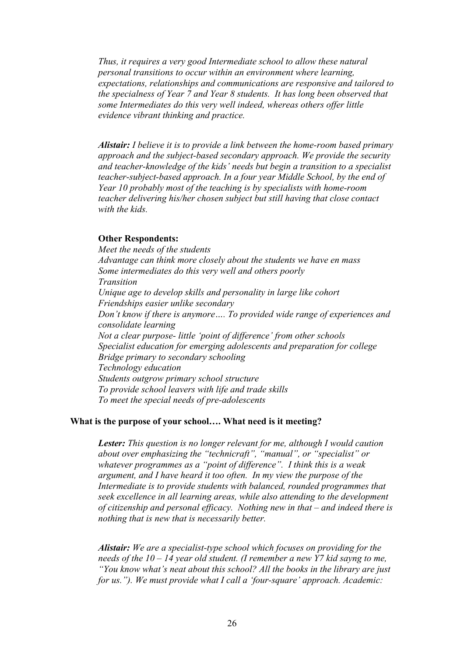*Thus, it requires a very good Intermediate school to allow these natural personal transitions to occur within an environment where learning, expectations, relationships and communications are responsive and tailored to the specialness of Year 7 and Year 8 students. It has long been observed that some Intermediates do this very well indeed, whereas others offer little evidence vibrant thinking and practice.*

*Alistair: I believe it is to provide a link between the home-room based primary approach and the subject-based secondary approach. We provide the security and teacher-knowledge of the kids' needs but begin a transition to a specialist teacher-subject-based approach. In a four year Middle School, by the end of Year 10 probably most of the teaching is by specialists with home-room teacher delivering his/her chosen subject but still having that close contact with the kids.*

#### **Other Respondents:**

*Meet the needs of the students Advantage can think more closely about the students we have en mass Some intermediates do this very well and others poorly Transition Unique age to develop skills and personality in large like cohort Friendships easier unlike secondary Don't know if there is anymore…. To provided wide range of experiences and consolidate learning Not a clear purpose- little 'point of difference' from other schools Specialist education for emerging adolescents and preparation for college Bridge primary to secondary schooling Technology education Students outgrow primary school structure To provide school leavers with life and trade skills To meet the special needs of pre-adolescents* 

#### **What is the purpose of your school…. What need is it meeting?**

*Lester: This question is no longer relevant for me, although I would caution about over emphasizing the "technicraft", "manual", or "specialist" or whatever programmes as a "point of difference". I think this is a weak argument, and I have heard it too often. In my view the purpose of the Intermediate is to provide students with balanced, rounded programmes that seek excellence in all learning areas, while also attending to the development of citizenship and personal efficacy. Nothing new in that – and indeed there is nothing that is new that is necessarily better.*

*Alistair: We are a specialist-type school which focuses on providing for the needs of the 10 – 14 year old student. (I remember a new Y7 kid sayng to me, "You know what's neat about this school? All the books in the library are just for us."). We must provide what I call a 'four-square' approach. Academic:*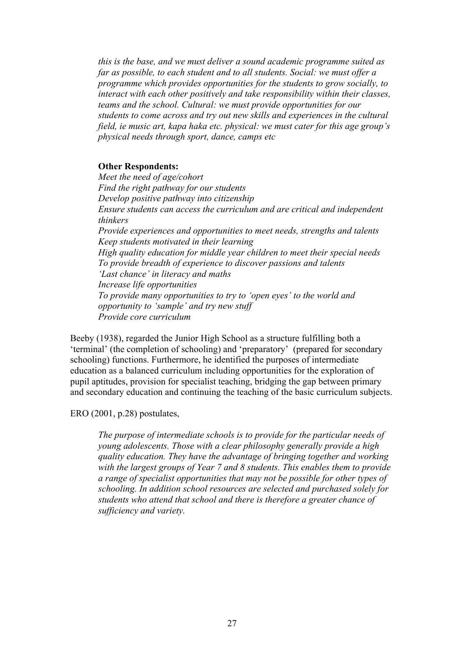*this is the base, and we must deliver a sound academic programme suited as far as possible, to each student and to all students. Social: we must offer a programme which provides opportunities for the students to grow socially, to interact with each other positively and take responsibility within their classes, teams and the school. Cultural: we must provide opportunities for our students to come across and try out new skills and experiences in the cultural field, ie music art, kapa haka etc. physical: we must cater for this age group's physical needs through sport, dance, camps etc*

#### **Other Respondents:**

*Meet the need of age/cohort Find the right pathway for our students Develop positive pathway into citizenship Ensure students can access the curriculum and are critical and independent thinkers Provide experiences and opportunities to meet needs, strengths and talents Keep students motivated in their learning High quality education for middle year children to meet their special needs To provide breadth of experience to discover passions and talents 'Last chance' in literacy and maths Increase life opportunities To provide many opportunities to try to 'open eyes' to the world and opportunity to 'sample' and try new stuff Provide core curriculum* 

Beeby (1938), regarded the Junior High School as a structure fulfilling both a 'terminal' (the completion of schooling) and 'preparatory' (prepared for secondary schooling) functions. Furthermore, he identified the purposes of intermediate education as a balanced curriculum including opportunities for the exploration of pupil aptitudes, provision for specialist teaching, bridging the gap between primary and secondary education and continuing the teaching of the basic curriculum subjects.

ERO (2001, p.28) postulates,

*The purpose of intermediate schools is to provide for the particular needs of young adolescents. Those with a clear philosophy generally provide a high quality education. They have the advantage of bringing together and working with the largest groups of Year 7 and 8 students. This enables them to provide a range of specialist opportunities that may not be possible for other types of schooling. In addition school resources are selected and purchased solely for students who attend that school and there is therefore a greater chance of sufficiency and variety.*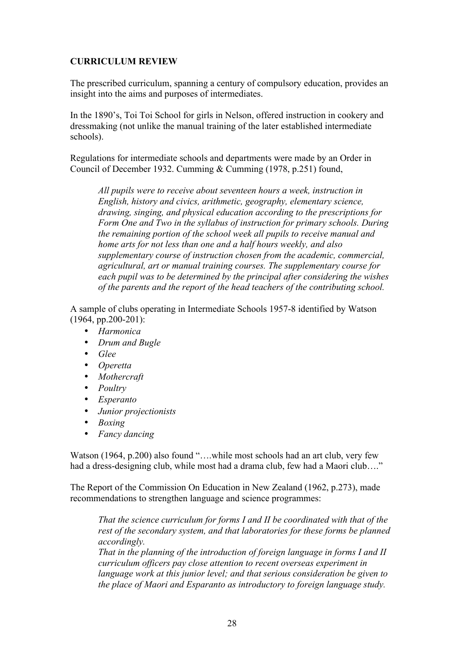#### **CURRICULUM REVIEW**

The prescribed curriculum, spanning a century of compulsory education, provides an insight into the aims and purposes of intermediates.

In the 1890's, Toi Toi School for girls in Nelson, offered instruction in cookery and dressmaking (not unlike the manual training of the later established intermediate schools).

Regulations for intermediate schools and departments were made by an Order in Council of December 1932. Cumming & Cumming (1978, p.251) found,

*All pupils were to receive about seventeen hours a week, instruction in English, history and civics, arithmetic, geography, elementary science, drawing, singing, and physical education according to the prescriptions for Form One and Two in the syllabus of instruction for primary schools. During the remaining portion of the school week all pupils to receive manual and home arts for not less than one and a half hours weekly, and also supplementary course of instruction chosen from the academic, commercial, agricultural, art or manual training courses. The supplementary course for each pupil was to be determined by the principal after considering the wishes of the parents and the report of the head teachers of the contributing school.*

A sample of clubs operating in Intermediate Schools 1957-8 identified by Watson (1964, pp.200-201):

- *Harmonica*
- *Drum and Bugle*
- *Glee*
- *Operetta*
- *Mothercraft*
- *Poultry*
- *Esperanto*
- *Junior projectionists*
- *Boxing*
- *Fancy dancing*

Watson (1964, p.200) also found "....while most schools had an art club, very few had a dress-designing club, while most had a drama club, few had a Maori club…."

The Report of the Commission On Education in New Zealand (1962, p.273), made recommendations to strengthen language and science programmes:

*That the science curriculum for forms I and II be coordinated with that of the rest of the secondary system, and that laboratories for these forms be planned accordingly.*

*That in the planning of the introduction of foreign language in forms I and II curriculum officers pay close attention to recent overseas experiment in language work at this junior level; and that serious consideration be given to the place of Maori and Esparanto as introductory to foreign language study.*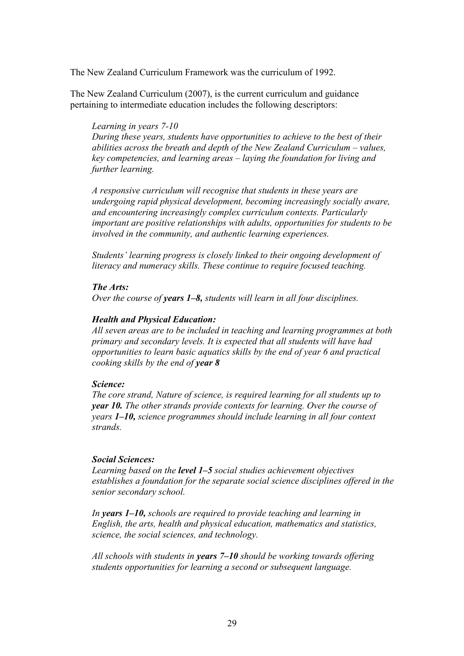The New Zealand Curriculum Framework was the curriculum of 1992.

The New Zealand Curriculum (2007), is the current curriculum and guidance pertaining to intermediate education includes the following descriptors:

#### *Learning in years 7-10*

*During these years, students have opportunities to achieve to the best of their abilities across the breath and depth of the New Zealand Curriculum – values, key competencies, and learning areas – laying the foundation for living and further learning.*

*A responsive curriculum will recognise that students in these years are undergoing rapid physical development, becoming increasingly socially aware, and encountering increasingly complex curriculum contexts. Particularly important are positive relationships with adults, opportunities for students to be involved in the community, and authentic learning experiences.*

*Students' learning progress is closely linked to their ongoing development of literacy and numeracy skills. These continue to require focused teaching.*

#### *The Arts:*

*Over the course of years 1–8, students will learn in all four disciplines.* 

#### *Health and Physical Education:*

*All seven areas are to be included in teaching and learning programmes at both primary and secondary levels. It is expected that all students will have had opportunities to learn basic aquatics skills by the end of year 6 and practical cooking skills by the end of year 8*

#### *Science:*

*The core strand, Nature of science, is required learning for all students up to year 10. The other strands provide contexts for learning. Over the course of years 1–10, science programmes should include learning in all four context strands.*

#### *Social Sciences:*

*Learning based on the level 1–5 social studies achievement objectives establishes a foundation for the separate social science disciplines offered in the senior secondary school.*

*In years 1–10, schools are required to provide teaching and learning in English, the arts, health and physical education, mathematics and statistics, science, the social sciences, and technology.*

*All schools with students in years 7–10 should be working towards offering students opportunities for learning a second or subsequent language.*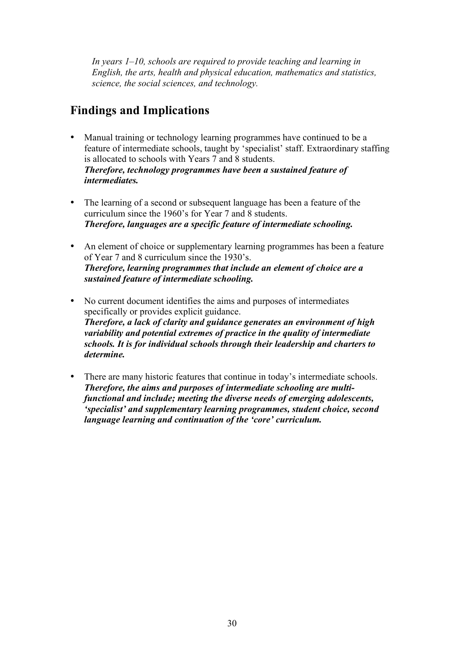*In years 1–10, schools are required to provide teaching and learning in English, the arts, health and physical education, mathematics and statistics, science, the social sciences, and technology.*

### **Findings and Implications**

- Manual training or technology learning programmes have continued to be a feature of intermediate schools, taught by 'specialist' staff. Extraordinary staffing is allocated to schools with Years 7 and 8 students. *Therefore, technology programmes have been a sustained feature of intermediates.*
- The learning of a second or subsequent language has been a feature of the curriculum since the 1960's for Year 7 and 8 students. *Therefore, languages are a specific feature of intermediate schooling.*
- An element of choice or supplementary learning programmes has been a feature of Year 7 and 8 curriculum since the 1930's. *Therefore, learning programmes that include an element of choice are a sustained feature of intermediate schooling.*
- No current document identifies the aims and purposes of intermediates specifically or provides explicit guidance. *Therefore, a lack of clarity and guidance generates an environment of high variability and potential extremes of practice in the quality of intermediate schools. It is for individual schools through their leadership and charters to determine.*
- There are many historic features that continue in today's intermediate schools. *Therefore, the aims and purposes of intermediate schooling are multifunctional and include; meeting the diverse needs of emerging adolescents, 'specialist' and supplementary learning programmes, student choice, second language learning and continuation of the 'core' curriculum.*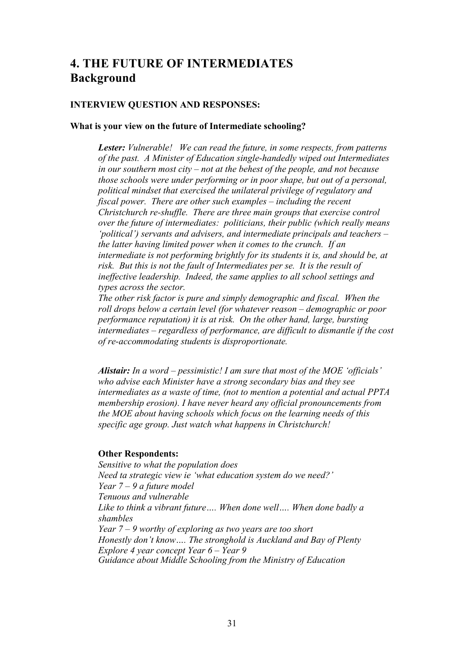## **4. THE FUTURE OF INTERMEDIATES Background**

#### **INTERVIEW QUESTION AND RESPONSES:**

#### **What is your view on the future of Intermediate schooling?**

*Lester: Vulnerable! We can read the future, in some respects, from patterns of the past. A Minister of Education single-handedly wiped out Intermediates in our southern most city – not at the behest of the people, and not because those schools were under performing or in poor shape, but out of a personal, political mindset that exercised the unilateral privilege of regulatory and fiscal power. There are other such examples – including the recent Christchurch re-shuffle. There are three main groups that exercise control over the future of intermediates: politicians, their public (which really means 'political') servants and advisers, and intermediate principals and teachers – the latter having limited power when it comes to the crunch. If an intermediate is not performing brightly for its students it is, and should be, at risk. But this is not the fault of Intermediates per se. It is the result of ineffective leadership. Indeed, the same applies to all school settings and types across the sector.*

*The other risk factor is pure and simply demographic and fiscal. When the roll drops below a certain level (for whatever reason – demographic or poor performance reputation) it is at risk. On the other hand, large, bursting intermediates – regardless of performance, are difficult to dismantle if the cost of re-accommodating students is disproportionate.*

*Alistair: In a word – pessimistic! I am sure that most of the MOE 'officials' who advise each Minister have a strong secondary bias and they see intermediates as a waste of time, (not to mention a potential and actual PPTA membership erosion). I have never heard any official pronouncements from the MOE about having schools which focus on the learning needs of this specific age group. Just watch what happens in Christchurch!*

#### **Other Respondents:**

*Sensitive to what the population does Need ta strategic view ie 'what education system do we need?' Year 7 – 9 a future model Tenuous and vulnerable Like to think a vibrant future…. When done well…. When done badly a shambles Year 7 – 9 worthy of exploring as two years are too short Honestly don't know…. The stronghold is Auckland and Bay of Plenty Explore 4 year concept Year 6 – Year 9 Guidance about Middle Schooling from the Ministry of Education*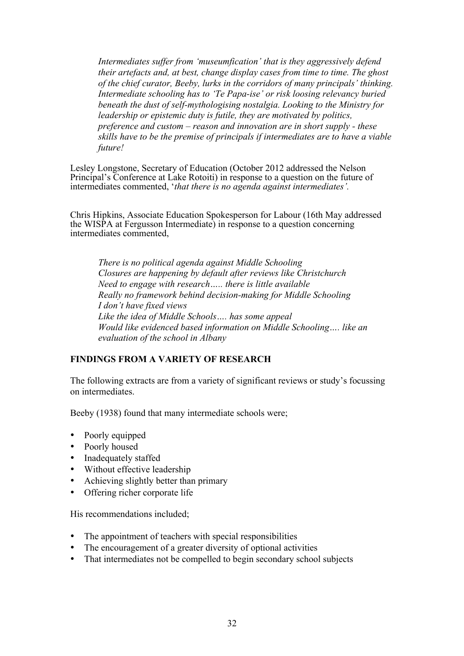*Intermediates suffer from 'museumfication' that is they aggressively defend their artefacts and, at best, change display cases from time to time. The ghost of the chief curator, Beeby, lurks in the corridors of many principals' thinking. Intermediate schooling has to 'Te Papa-ise' or risk loosing relevancy buried beneath the dust of self-mythologising nostalgia. Looking to the Ministry for leadership or epistemic duty is futile, they are motivated by politics, preference and custom – reason and innovation are in short supply - these skills have to be the premise of principals if intermediates are to have a viable future!* 

Lesley Longstone, Secretary of Education (October 2012 addressed the Nelson Principal's Conference at Lake Rotoiti) in response to a question on the future of intermediates commented, '*that there is no agenda against intermediates'.*

Chris Hipkins, Associate Education Spokesperson for Labour (16th May addressed the WISPA at Fergusson Intermediate) in response to a question concerning intermediates commented,

*There is no political agenda against Middle Schooling Closures are happening by default after reviews like Christchurch Need to engage with research….. there is little available Really no framework behind decision-making for Middle Schooling I don't have fixed views Like the idea of Middle Schools…. has some appeal Would like evidenced based information on Middle Schooling…. like an evaluation of the school in Albany* 

#### **FINDINGS FROM A VARIETY OF RESEARCH**

The following extracts are from a variety of significant reviews or study's focussing on intermediates.

Beeby (1938) found that many intermediate schools were;

- Poorly equipped
- Poorly housed
- Inadequately staffed
- Without effective leadership
- Achieving slightly better than primary
- Offering richer corporate life

His recommendations included;

- The appointment of teachers with special responsibilities
- The encouragement of a greater diversity of optional activities
- That intermediates not be compelled to begin secondary school subjects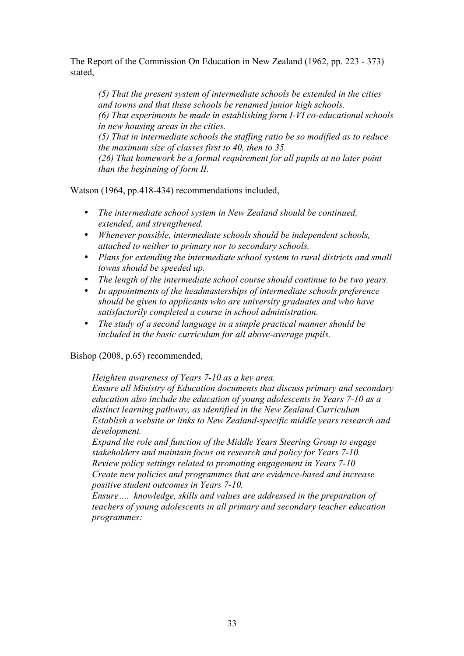The Report of the Commission On Education in New Zealand (1962, pp. 223 - 373) stated,

*(5) That the present system of intermediate schools be extended in the cities and towns and that these schools be renamed junior high schools. (6) That experiments be made in establishing form I-VI co-educational schools in new housing areas in the cities. (5) That in intermediate schools the staffing ratio be so modified as to reduce the maximum size of classes first to 40, then to 35. (26) That homework be a formal requirement for all pupils at no later point than the beginning of form II.* 

Watson (1964, pp.418-434) recommendations included,

- *The intermediate school system in New Zealand should be continued, extended, and strengthened.*
- *Whenever possible, intermediate schools should be independent schools, attached to neither to primary nor to secondary schools.*
- *Plans for extending the intermediate school system to rural districts and small towns should be speeded up.*
- *The length of the intermediate school course should continue to be two years.*
- *In appointments of the headmasterships of intermediate schools preference should be given to applicants who are university graduates and who have satisfactorily completed a course in school administration.*
- *The study of a second language in a simple practical manner should be included in the basic curriculum for all above-average pupils.*

Bishop (2008, p.65) recommended,

*Heighten awareness of Years 7-10 as a key area.*

*Ensure all Ministry of Education documents that discuss primary and secondary education also include the education of young adolescents in Years 7-10 as a distinct learning pathway, as identified in the New Zealand Curriculum Establish a website or links to New Zealand-specific middle years research and development.*

*Expand the role and function of the Middle Years Steering Group to engage stakeholders and maintain focus on research and policy for Years 7-10. Review policy settings related to promoting engagement in Years 7-10 Create new policies and programmes that are evidence-based and increase positive student outcomes in Years 7-10.*

*Ensure…. knowledge, skills and values are addressed in the preparation of teachers of young adolescents in all primary and secondary teacher education programmes:*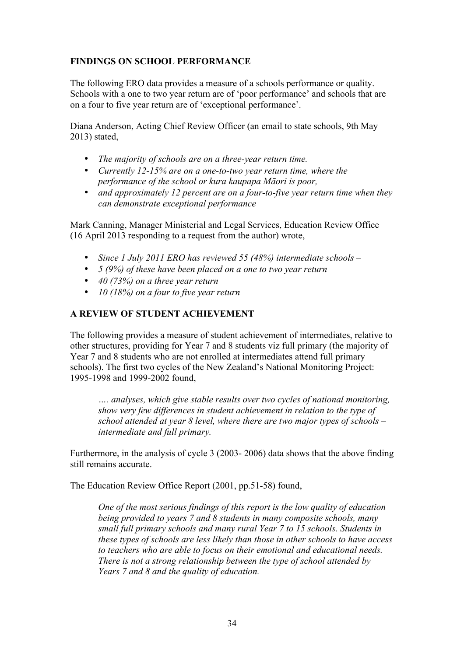#### **FINDINGS ON SCHOOL PERFORMANCE**

The following ERO data provides a measure of a schools performance or quality. Schools with a one to two year return are of 'poor performance' and schools that are on a four to five year return are of 'exceptional performance'.

Diana Anderson, Acting Chief Review Officer (an email to state schools, 9th May 2013) stated,

- *The majority of schools are on a three-year return time.*
- *Currently 12-15% are on a one-to-two year return time, where the performance of the school or kura kaupapa Māori is poor,*
- *and approximately 12 percent are on a four-to-five year return time when they can demonstrate exceptional performance*

Mark Canning, Manager Ministerial and Legal Services, Education Review Office (16 April 2013 responding to a request from the author) wrote,

- *Since 1 July 2011 ERO has reviewed 55 (48%) intermediate schools –*
- *5 (9%) of these have been placed on a one to two year return*
- *40 (73%) on a three year return*
- *10 (18%) on a four to five year return*

#### **A REVIEW OF STUDENT ACHIEVEMENT**

The following provides a measure of student achievement of intermediates, relative to other structures, providing for Year 7 and 8 students viz full primary (the majority of Year 7 and 8 students who are not enrolled at intermediates attend full primary schools). The first two cycles of the New Zealand's National Monitoring Project: 1995-1998 and 1999-2002 found,

*…. analyses, which give stable results over two cycles of national monitoring, show very few differences in student achievement in relation to the type of school attended at year 8 level, where there are two major types of schools – intermediate and full primary.*

Furthermore, in the analysis of cycle 3 (2003- 2006) data shows that the above finding still remains accurate.

The Education Review Office Report (2001, pp.51-58) found,

*One of the most serious findings of this report is the low quality of education being provided to years 7 and 8 students in many composite schools, many small full primary schools and many rural Year 7 to 15 schools. Students in these types of schools are less likely than those in other schools to have access to teachers who are able to focus on their emotional and educational needs. There is not a strong relationship between the type of school attended by Years 7 and 8 and the quality of education.*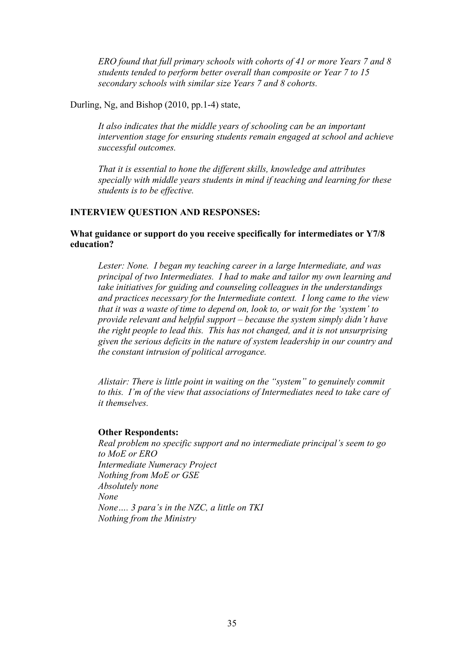*ERO found that full primary schools with cohorts of 41 or more Years 7 and 8 students tended to perform better overall than composite or Year 7 to 15 secondary schools with similar size Years 7 and 8 cohorts.* 

Durling, Ng, and Bishop (2010, pp.1-4) state,

*It also indicates that the middle years of schooling can be an important intervention stage for ensuring students remain engaged at school and achieve successful outcomes.*

*That it is essential to hone the different skills, knowledge and attributes specially with middle years students in mind if teaching and learning for these students is to be effective.*

#### **INTERVIEW QUESTION AND RESPONSES:**

#### **What guidance or support do you receive specifically for intermediates or Y7/8 education?**

*Lester: None. I began my teaching career in a large Intermediate, and was principal of two Intermediates. I had to make and tailor my own learning and take initiatives for guiding and counseling colleagues in the understandings and practices necessary for the Intermediate context. I long came to the view that it was a waste of time to depend on, look to, or wait for the 'system' to provide relevant and helpful support – because the system simply didn't have the right people to lead this. This has not changed, and it is not unsurprising given the serious deficits in the nature of system leadership in our country and the constant intrusion of political arrogance.*

*Alistair: There is little point in waiting on the "system" to genuinely commit to this. I'm of the view that associations of Intermediates need to take care of it themselves.*

#### **Other Respondents:**

*Real problem no specific support and no intermediate principal's seem to go to MoE or ERO Intermediate Numeracy Project Nothing from MoE or GSE Absolutely none None None…. 3 para's in the NZC, a little on TKI Nothing from the Ministry*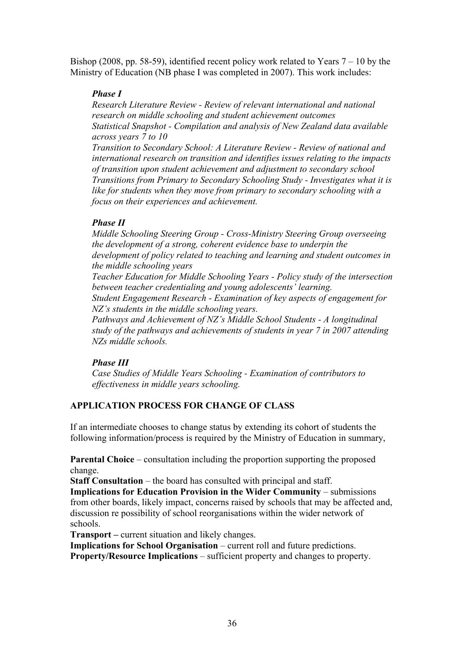Bishop (2008, pp. 58-59), identified recent policy work related to Years 7 – 10 by the Ministry of Education (NB phase I was completed in 2007). This work includes:

#### *Phase I*

*Research Literature Review - Review of relevant international and national research on middle schooling and student achievement outcomes Statistical Snapshot - Compilation and analysis of New Zealand data available across years 7 to 10*

*Transition to Secondary School: A Literature Review - Review of national and international research on transition and identifies issues relating to the impacts of transition upon student achievement and adjustment to secondary school Transitions from Primary to Secondary Schooling Study - Investigates what it is like for students when they move from primary to secondary schooling with a focus on their experiences and achievement.*

#### *Phase II*

*Middle Schooling Steering Group - Cross-Ministry Steering Group overseeing the development of a strong, coherent evidence base to underpin the development of policy related to teaching and learning and student outcomes in the middle schooling years*

*Teacher Education for Middle Schooling Years - Policy study of the intersection between teacher credentialing and young adolescents' learning.*

*Student Engagement Research - Examination of key aspects of engagement for NZ's students in the middle schooling years.*

*Pathways and Achievement of NZ's Middle School Students - A longitudinal study of the pathways and achievements of students in year 7 in 2007 attending NZs middle schools.*

#### *Phase III*

*Case Studies of Middle Years Schooling - Examination of contributors to effectiveness in middle years schooling.*

#### **APPLICATION PROCESS FOR CHANGE OF CLASS**

If an intermediate chooses to change status by extending its cohort of students the following information/process is required by the Ministry of Education in summary,

**Parental Choice** – consultation including the proportion supporting the proposed change.

**Staff Consultation** – the board has consulted with principal and staff.

**Implications for Education Provision in the Wider Community** – submissions from other boards, likely impact, concerns raised by schools that may be affected and, discussion re possibility of school reorganisations within the wider network of schools.

**Transport –** current situation and likely changes.

**Implications for School Organisation** – current roll and future predictions. **Property/Resource Implications** – sufficient property and changes to property.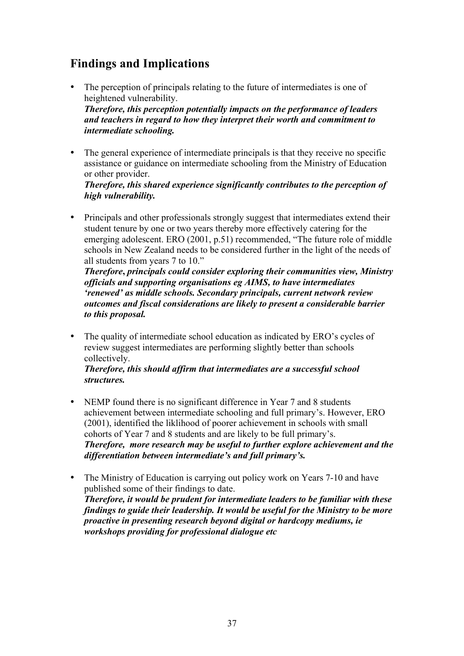# **Findings and Implications**

- The perception of principals relating to the future of intermediates is one of heightened vulnerability. *Therefore, this perception potentially impacts on the performance of leaders and teachers in regard to how they interpret their worth and commitment to intermediate schooling.*
- The general experience of intermediate principals is that they receive no specific assistance or guidance on intermediate schooling from the Ministry of Education or other provider.

#### *Therefore, this shared experience significantly contributes to the perception of high vulnerability.*

• Principals and other professionals strongly suggest that intermediates extend their student tenure by one or two years thereby more effectively catering for the emerging adolescent. ERO (2001, p.51) recommended, "The future role of middle schools in New Zealand needs to be considered further in the light of the needs of all students from years 7 to 10."

*Therefore***,** *principals could consider exploring their communities view, Ministry officials and supporting organisations eg AIMS, to have intermediates 'renewed' as middle schools. Secondary principals, current network review outcomes and fiscal considerations are likely to present a considerable barrier to this proposal.*

• The quality of intermediate school education as indicated by ERO's cycles of review suggest intermediates are performing slightly better than schools collectively.

#### *Therefore, this should affirm that intermediates are a successful school structures.*

- NEMP found there is no significant difference in Year 7 and 8 students achievement between intermediate schooling and full primary's. However, ERO (2001), identified the liklihood of poorer achievement in schools with small cohorts of Year 7 and 8 students and are likely to be full primary's. *Therefore, more research may be useful to further explore achievement and the differentiation between intermediate's and full primary's.*
- The Ministry of Education is carrying out policy work on Years 7-10 and have published some of their findings to date. *Therefore, it would be prudent for intermediate leaders to be familiar with these findings to guide their leadership. It would be useful for the Ministry to be more proactive in presenting research beyond digital or hardcopy mediums, ie workshops providing for professional dialogue etc*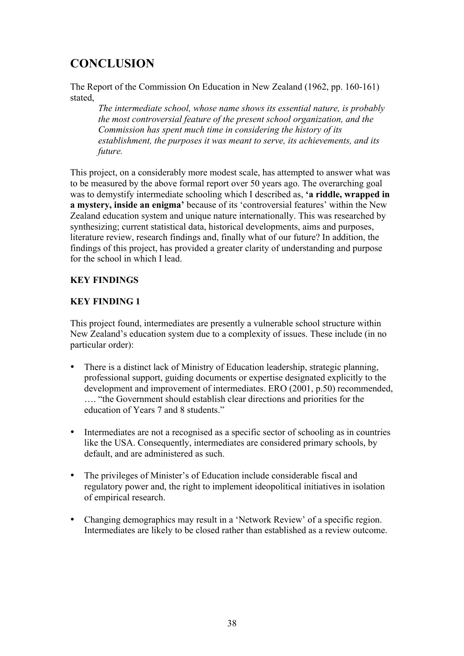# **CONCLUSION**

The Report of the Commission On Education in New Zealand (1962, pp. 160-161) stated,

*The intermediate school, whose name shows its essential nature, is probably the most controversial feature of the present school organization, and the Commission has spent much time in considering the history of its establishment, the purposes it was meant to serve, its achievements, and its future.* 

This project, on a considerably more modest scale, has attempted to answer what was to be measured by the above formal report over 50 years ago. The overarching goal was to demystify intermediate schooling which I described as, **'a riddle, wrapped in a mystery, inside an enigma'** because of its 'controversial features' within the New Zealand education system and unique nature internationally. This was researched by synthesizing; current statistical data, historical developments, aims and purposes, literature review, research findings and, finally what of our future? In addition, the findings of this project, has provided a greater clarity of understanding and purpose for the school in which I lead.

#### **KEY FINDINGS**

#### **KEY FINDING 1**

This project found, intermediates are presently a vulnerable school structure within New Zealand's education system due to a complexity of issues. These include (in no particular order):

- There is a distinct lack of Ministry of Education leadership, strategic planning, professional support, guiding documents or expertise designated explicitly to the development and improvement of intermediates. ERO (2001, p.50) recommended, …. "the Government should establish clear directions and priorities for the education of Years 7 and 8 students."
- Intermediates are not a recognised as a specific sector of schooling as in countries like the USA. Consequently, intermediates are considered primary schools, by default, and are administered as such.
- The privileges of Minister's of Education include considerable fiscal and regulatory power and, the right to implement ideopolitical initiatives in isolation of empirical research.
- Changing demographics may result in a 'Network Review' of a specific region. Intermediates are likely to be closed rather than established as a review outcome.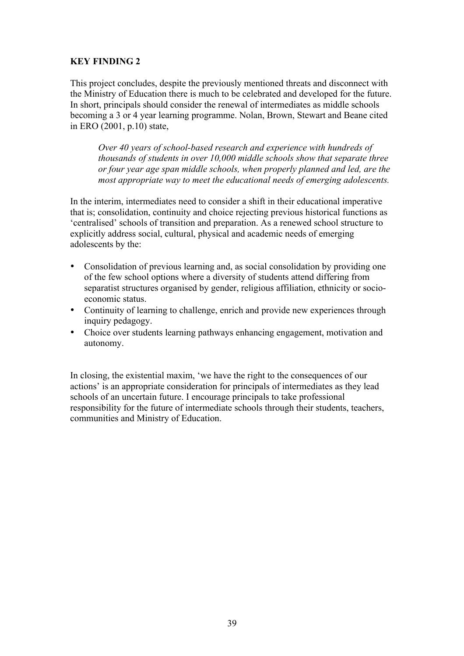#### **KEY FINDING 2**

This project concludes, despite the previously mentioned threats and disconnect with the Ministry of Education there is much to be celebrated and developed for the future. In short, principals should consider the renewal of intermediates as middle schools becoming a 3 or 4 year learning programme. Nolan, Brown, Stewart and Beane cited in ERO (2001, p.10) state,

*Over 40 years of school-based research and experience with hundreds of thousands of students in over 10,000 middle schools show that separate three or four year age span middle schools, when properly planned and led, are the most appropriate way to meet the educational needs of emerging adolescents.*

In the interim, intermediates need to consider a shift in their educational imperative that is; consolidation, continuity and choice rejecting previous historical functions as 'centralised' schools of transition and preparation. As a renewed school structure to explicitly address social, cultural, physical and academic needs of emerging adolescents by the:

- Consolidation of previous learning and, as social consolidation by providing one of the few school options where a diversity of students attend differing from separatist structures organised by gender, religious affiliation, ethnicity or socioeconomic status.
- Continuity of learning to challenge, enrich and provide new experiences through inquiry pedagogy.
- Choice over students learning pathways enhancing engagement, motivation and autonomy.

In closing, the existential maxim, 'we have the right to the consequences of our actions' is an appropriate consideration for principals of intermediates as they lead schools of an uncertain future. I encourage principals to take professional responsibility for the future of intermediate schools through their students, teachers, communities and Ministry of Education.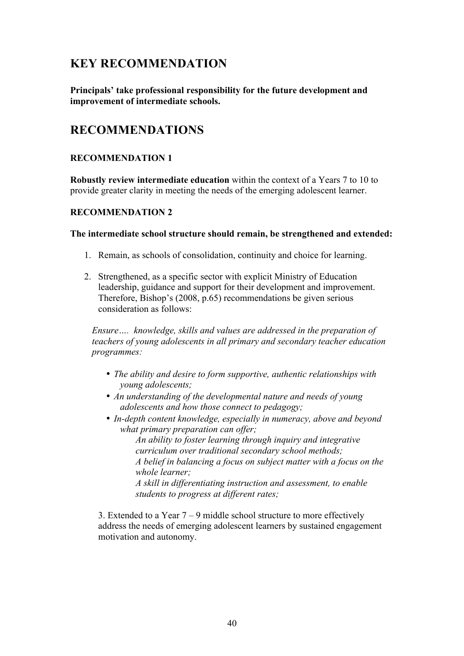### **KEY RECOMMENDATION**

**Principals' take professional responsibility for the future development and improvement of intermediate schools.**

### **RECOMMENDATIONS**

#### **RECOMMENDATION 1**

**Robustly review intermediate education** within the context of a Years 7 to 10 to provide greater clarity in meeting the needs of the emerging adolescent learner.

#### **RECOMMENDATION 2**

#### **The intermediate school structure should remain, be strengthened and extended:**

- 1. Remain, as schools of consolidation, continuity and choice for learning.
- 2. Strengthened, as a specific sector with explicit Ministry of Education leadership, guidance and support for their development and improvement. Therefore, Bishop's (2008, p.65) recommendations be given serious consideration as follows:

*Ensure…. knowledge, skills and values are addressed in the preparation of teachers of young adolescents in all primary and secondary teacher education programmes:*

- *The ability and desire to form supportive, authentic relationships with young adolescents;*
- *An understanding of the developmental nature and needs of young adolescents and how those connect to pedagogy;*
- *In-depth content knowledge, especially in numeracy, above and beyond what primary preparation can offer;*

*An ability to foster learning through inquiry and integrative curriculum over traditional secondary school methods; A belief in balancing a focus on subject matter with a focus on the whole learner; A skill in differentiating instruction and assessment, to enable* 

*students to progress at different rates;* 

3. Extended to a Year 7 – 9 middle school structure to more effectively address the needs of emerging adolescent learners by sustained engagement motivation and autonomy.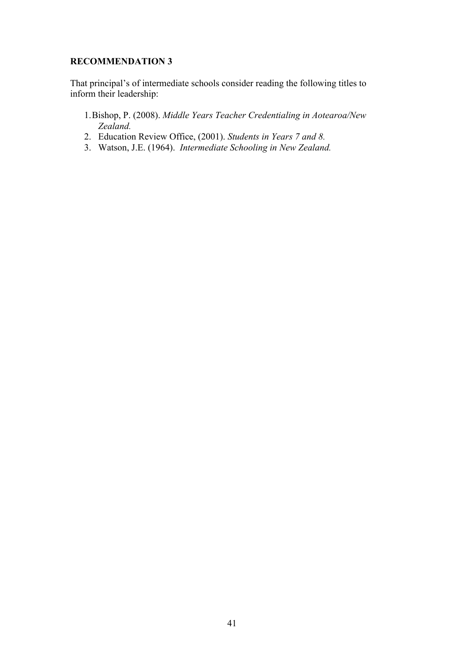#### **RECOMMENDATION 3**

That principal's of intermediate schools consider reading the following titles to inform their leadership:

- 1.Bishop, P. (2008). *Middle Years Teacher Credentialing in Aotearoa/New Zealand.*
- 2. Education Review Office, (2001). *Students in Years 7 and 8.*
- 3. Watson, J.E. (1964). *Intermediate Schooling in New Zealand.*